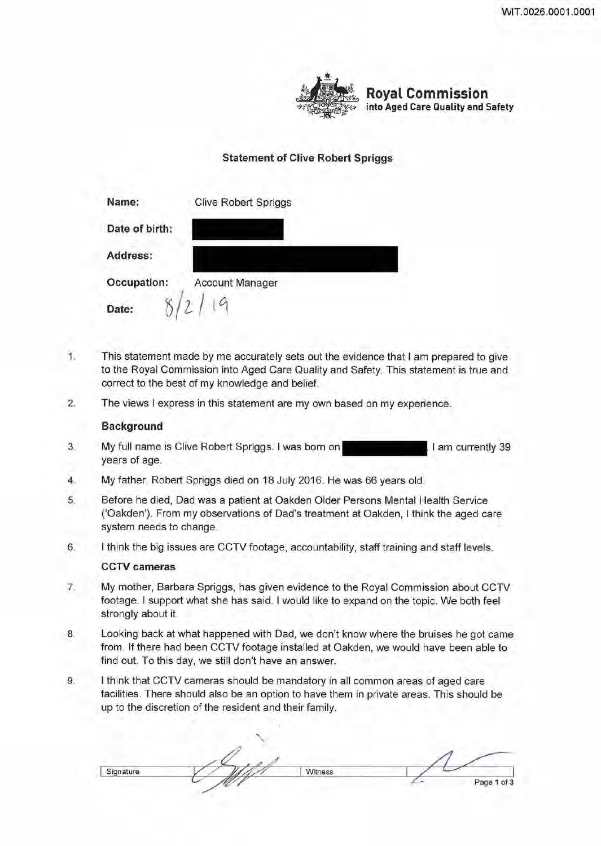

**Royal Commission into Aged Care Quality and Safety** 

# **Statement of Clive Robert Spriggs**

| Name:          | <b>Clive Robert Spriggs</b> |
|----------------|-----------------------------|
| Date of birth: |                             |
| Address:       |                             |
| Occupation:    | <b>Account Manager</b>      |
| Date:          |                             |

- 1. This statement made by me accurately sets out the evidence that I am prepared to give to the Royal Commission into Aged Care Quality and Safety. This statement is true and correct to the best of my knowledge and belief.
- 2. The views I express in this statement are my own based on my experience.

## **Background**

- 3. My full name is Clive Robert Spriggs. I was born on years of age. I am currently 39
- 4. My father, Robert Spriggs died on 18 July 2016. He was 66 years old.
- 5. Before he died, Dad was a patient at Oakden Older Persons Mental Health Service ('Oakden'). From my observations of Dad's treatment at Oakden, I think the aged care system needs to change.
- 6. I think the big issues are CCTV footage, accountability, staff training and staff levels.

## **CCTV cameras**

- 7. My mother, Barbara Spriggs, has given evidence to the Royal Commission about CCTV footage. I support what she has said. I would like to expand on the topic. We both feel strongly about it.
- 8. Looking back at what happened with Dad, we don't know where the bruises he got came from. If there had been CCTV footage installed at Oakden, we would have been able to find out. To this day, we still don't have an answer.
- 9. I think that CCTV cameras should be mandatory in all common areas of aged care facilities. There should also be an option to have them in private areas. This should be up to the discretion of the resident and their family.

Signature VIII Witness *L..,.* Page **1** of 3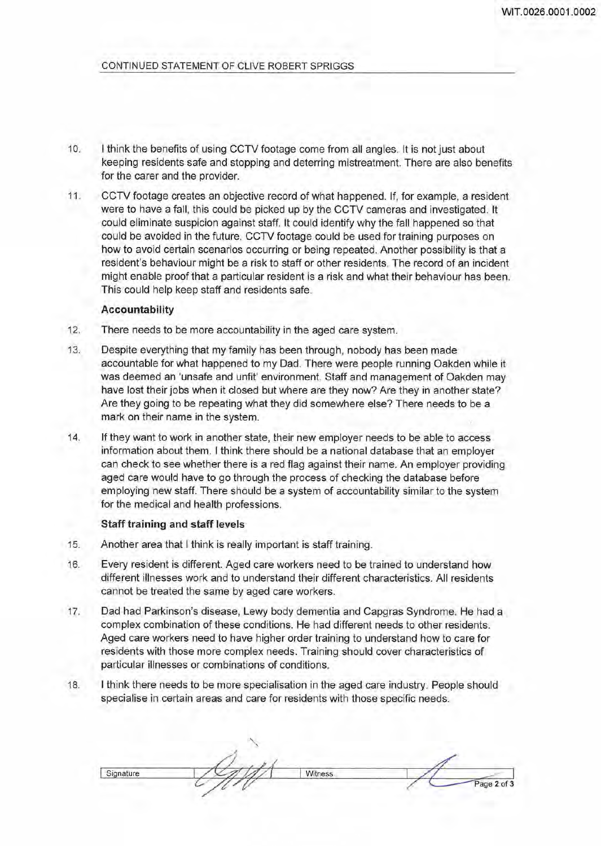- 10. I think the benefits of using CCTV footage come from all angles. It is not just about keeping residents safe and stopping and deterring mistreatment. There are also benefits for the carer and the provider.
- 11. CCTV footage creates an objective record of what happened. If, for example, a resident were to have a fall, this could be picked up by the CCTV cameras and investigated. It could eliminate suspicion against staff. It could identify why the fall happened so that could be avoided in the future. CCTV footage could be used for training purposes on how to avoid certain scenarios occurring or being repeated. Another possibility is that a resident's behaviour might be a risk to staff or other residents. The record of an incident might enable proof that a particular resident is a risk and what their behaviour has been. This could help keep staff and residents safe.

### **Accountability**

- 12. There needs to be more accountability in the aged care system.
- 13. Despite everything that my family has been through, nobody has been made accountable for what happened to my Dad. There were people running Oakden while it was deemed an 'unsafe and unfit' environment. Staff and management of Oakden may have lost their jobs when it closed but where are they now? Are they in another state? Are they going to be repeating what they did somewhere else? There needs to be a mark on their name in the system.
- 14. If they want to work in another state, their new employer needs to be able to access information about them. I think there should be a national database that an employer can check to see whether there is a red flag against their name. An employer providing aged care would have to go through the process of checking the database before employing new staff. There should be a system of accountability similar to the system for the medical and health professions.

### **Staff training and staff levels**

- 15. Another area that I think is really important is staff training.
- 16. Every resident is different. Aged care workers need to be trained to understand how different illnesses work and to understand their different characteristics. All residents cannot be treated the same by aged care workers.
- 17. Dad had Parkinson's disease, Lewy body dementia and Capgras Syndrome. He had a complex combination of these conditions. He had different needs to other residents. Aged care workers need to have higher order training to understand how to care for residents with those more complex needs. Training should cover characteristics of particular illnesses or combinations of conditions.
- 18. I think there needs to be more specialisation in the aged care industry. People should specialise in certain areas and care for residents with those specific needs.

Signature I VIII Witness Page 2 of 3